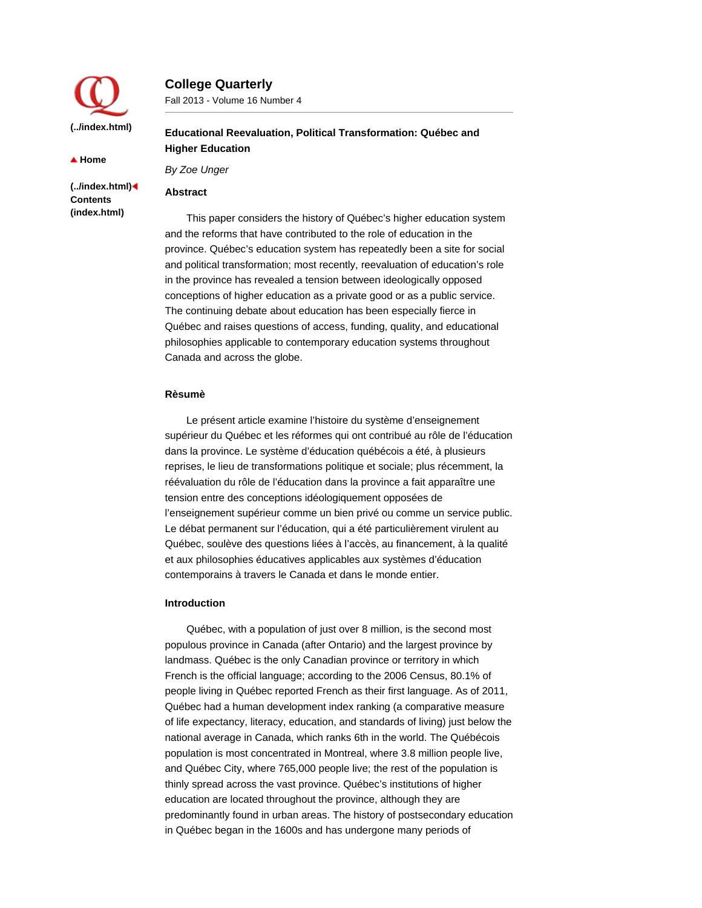

**College Quarterly**

Fall 2013 - Volume 16 Number 4

▲ Home

**(../index.html) Contents (index.html)**

**Educational Reevaluation, Political Transformation: Québec and Higher Education**

*By Zoe Unger*

# **Abstract**

This paper considers the history of Québec's higher education system and the reforms that have contributed to the role of education in the province. Québec's education system has repeatedly been a site for social and political transformation; most recently, reevaluation of education's role in the province has revealed a tension between ideologically opposed conceptions of higher education as a private good or as a public service. The continuing debate about education has been especially fierce in Québec and raises questions of access, funding, quality, and educational philosophies applicable to contemporary education systems throughout Canada and across the globe.

# **Rèsumè**

Le présent article examine l'histoire du système d'enseignement supérieur du Québec et les réformes qui ont contribué au rôle de l'éducation dans la province. Le système d'éducation québécois a été, à plusieurs reprises, le lieu de transformations politique et sociale; plus récemment, la réévaluation du rôle de l'éducation dans la province a fait apparaître une tension entre des conceptions idéologiquement opposées de l'enseignement supérieur comme un bien privé ou comme un service public. Le débat permanent sur l'éducation, qui a été particulièrement virulent au Québec, soulève des questions liées à l'accès, au financement, à la qualité et aux philosophies éducatives applicables aux systèmes d'éducation contemporains à travers le Canada et dans le monde entier.

# **Introduction**

Québec, with a population of just over 8 million, is the second most populous province in Canada (after Ontario) and the largest province by landmass. Québec is the only Canadian province or territory in which French is the official language; according to the 2006 Census, 80.1% of people living in Québec reported French as their first language. As of 2011, Québec had a human development index ranking (a comparative measure of life expectancy, literacy, education, and standards of living) just below the national average in Canada, which ranks 6th in the world. The Québécois population is most concentrated in Montreal, where 3.8 million people live, and Québec City, where 765,000 people live; the rest of the population is thinly spread across the vast province. Québec's institutions of higher education are located throughout the province, although they are predominantly found in urban areas. The history of postsecondary education in Québec began in the 1600s and has undergone many periods of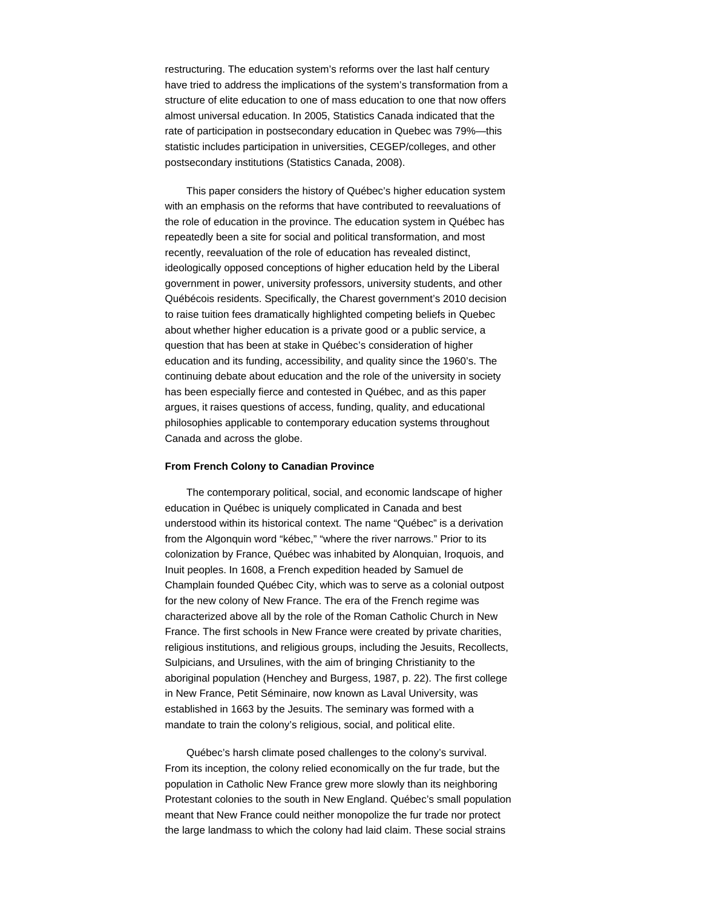restructuring. The education system's reforms over the last half century have tried to address the implications of the system's transformation from a structure of elite education to one of mass education to one that now offers almost universal education. In 2005, Statistics Canada indicated that the rate of participation in postsecondary education in Quebec was 79%—this statistic includes participation in universities, CEGEP/colleges, and other postsecondary institutions (Statistics Canada, 2008).

This paper considers the history of Québec's higher education system with an emphasis on the reforms that have contributed to reevaluations of the role of education in the province. The education system in Québec has repeatedly been a site for social and political transformation, and most recently, reevaluation of the role of education has revealed distinct, ideologically opposed conceptions of higher education held by the Liberal government in power, university professors, university students, and other Québécois residents. Specifically, the Charest government's 2010 decision to raise tuition fees dramatically highlighted competing beliefs in Quebec about whether higher education is a private good or a public service, a question that has been at stake in Québec's consideration of higher education and its funding, accessibility, and quality since the 1960's. The continuing debate about education and the role of the university in society has been especially fierce and contested in Québec, and as this paper argues, it raises questions of access, funding, quality, and educational philosophies applicable to contemporary education systems throughout Canada and across the globe.

## **From French Colony to Canadian Province**

The contemporary political, social, and economic landscape of higher education in Québec is uniquely complicated in Canada and best understood within its historical context. The name "Québec" is a derivation from the Algonquin word "kébec," "where the river narrows." Prior to its colonization by France, Québec was inhabited by Alonquian, Iroquois, and Inuit peoples. In 1608, a French expedition headed by Samuel de Champlain founded Québec City, which was to serve as a colonial outpost for the new colony of New France. The era of the French regime was characterized above all by the role of the Roman Catholic Church in New France. The first schools in New France were created by private charities, religious institutions, and religious groups, including the Jesuits, Recollects, Sulpicians, and Ursulines, with the aim of bringing Christianity to the aboriginal population (Henchey and Burgess, 1987, p. 22). The first college in New France, Petit Séminaire, now known as Laval University, was established in 1663 by the Jesuits. The seminary was formed with a mandate to train the colony's religious, social, and political elite.

Québec's harsh climate posed challenges to the colony's survival. From its inception, the colony relied economically on the fur trade, but the population in Catholic New France grew more slowly than its neighboring Protestant colonies to the south in New England. Québec's small population meant that New France could neither monopolize the fur trade nor protect the large landmass to which the colony had laid claim. These social strains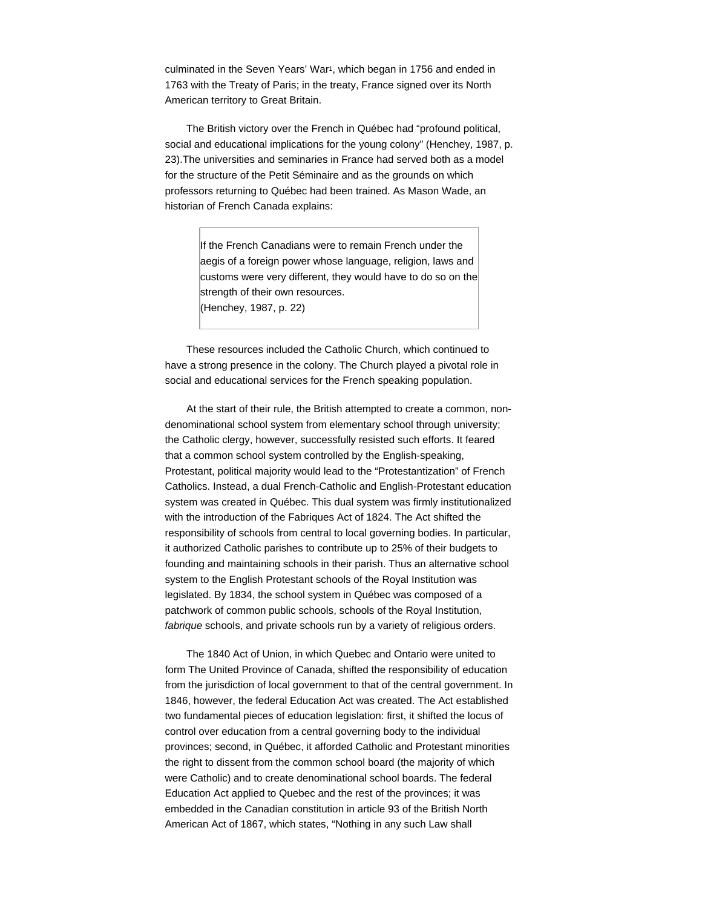culminated in the Seven Years' War<sup>1</sup>, which began in 1756 and ended in 1763 with the Treaty of Paris; in the treaty, France signed over its North American territory to Great Britain.

The British victory over the French in Québec had "profound political, social and educational implications for the young colony" (Henchey, 1987, p. 23).The universities and seminaries in France had served both as a model for the structure of the Petit Séminaire and as the grounds on which professors returning to Québec had been trained. As Mason Wade, an historian of French Canada explains:

> If the French Canadians were to remain French under the aegis of a foreign power whose language, religion, laws and customs were very different, they would have to do so on the strength of their own resources. (Henchey, 1987, p. 22)

These resources included the Catholic Church, which continued to have a strong presence in the colony. The Church played a pivotal role in social and educational services for the French speaking population.

At the start of their rule, the British attempted to create a common, nondenominational school system from elementary school through university; the Catholic clergy, however, successfully resisted such efforts. It feared that a common school system controlled by the English-speaking, Protestant, political majority would lead to the "Protestantization" of French Catholics. Instead, a dual French-Catholic and English-Protestant education system was created in Québec. This dual system was firmly institutionalized with the introduction of the Fabriques Act of 1824. The Act shifted the responsibility of schools from central to local governing bodies. In particular, it authorized Catholic parishes to contribute up to 25% of their budgets to founding and maintaining schools in their parish. Thus an alternative school system to the English Protestant schools of the Royal Institution was legislated. By 1834, the school system in Québec was composed of a patchwork of common public schools, schools of the Royal Institution, *fabrique* schools, and private schools run by a variety of religious orders.

The 1840 Act of Union, in which Quebec and Ontario were united to form The United Province of Canada, shifted the responsibility of education from the jurisdiction of local government to that of the central government. In 1846, however, the federal Education Act was created. The Act established two fundamental pieces of education legislation: first, it shifted the locus of control over education from a central governing body to the individual provinces; second, in Québec, it afforded Catholic and Protestant minorities the right to dissent from the common school board (the majority of which were Catholic) and to create denominational school boards. The federal Education Act applied to Quebec and the rest of the provinces; it was embedded in the Canadian constitution in article 93 of the British North American Act of 1867, which states, "Nothing in any such Law shall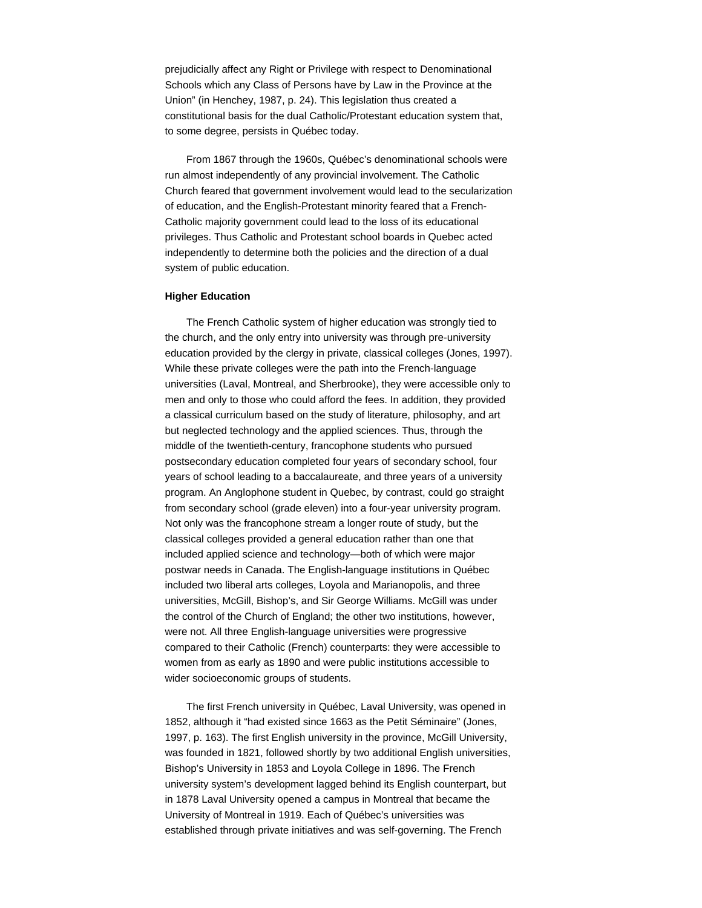prejudicially affect any Right or Privilege with respect to Denominational Schools which any Class of Persons have by Law in the Province at the Union" (in Henchey, 1987, p. 24). This legislation thus created a constitutional basis for the dual Catholic/Protestant education system that, to some degree, persists in Québec today.

From 1867 through the 1960s, Québec's denominational schools were run almost independently of any provincial involvement. The Catholic Church feared that government involvement would lead to the secularization of education, and the English-Protestant minority feared that a French-Catholic majority government could lead to the loss of its educational privileges. Thus Catholic and Protestant school boards in Quebec acted independently to determine both the policies and the direction of a dual system of public education.

#### **Higher Education**

The French Catholic system of higher education was strongly tied to the church, and the only entry into university was through pre-university education provided by the clergy in private, classical colleges (Jones, 1997). While these private colleges were the path into the French-language universities (Laval, Montreal, and Sherbrooke), they were accessible only to men and only to those who could afford the fees. In addition, they provided a classical curriculum based on the study of literature, philosophy, and art but neglected technology and the applied sciences. Thus, through the middle of the twentieth-century, francophone students who pursued postsecondary education completed four years of secondary school, four years of school leading to a baccalaureate, and three years of a university program. An Anglophone student in Quebec, by contrast, could go straight from secondary school (grade eleven) into a four-year university program. Not only was the francophone stream a longer route of study, but the classical colleges provided a general education rather than one that included applied science and technology—both of which were major postwar needs in Canada. The English-language institutions in Québec included two liberal arts colleges, Loyola and Marianopolis, and three universities, McGill, Bishop's, and Sir George Williams. McGill was under the control of the Church of England; the other two institutions, however, were not. All three English-language universities were progressive compared to their Catholic (French) counterparts: they were accessible to women from as early as 1890 and were public institutions accessible to wider socioeconomic groups of students.

The first French university in Québec, Laval University, was opened in 1852, although it "had existed since 1663 as the Petit Séminaire" (Jones, 1997, p. 163). The first English university in the province, McGill University, was founded in 1821, followed shortly by two additional English universities, Bishop's University in 1853 and Loyola College in 1896. The French university system's development lagged behind its English counterpart, but in 1878 Laval University opened a campus in Montreal that became the University of Montreal in 1919. Each of Québec's universities was established through private initiatives and was self-governing. The French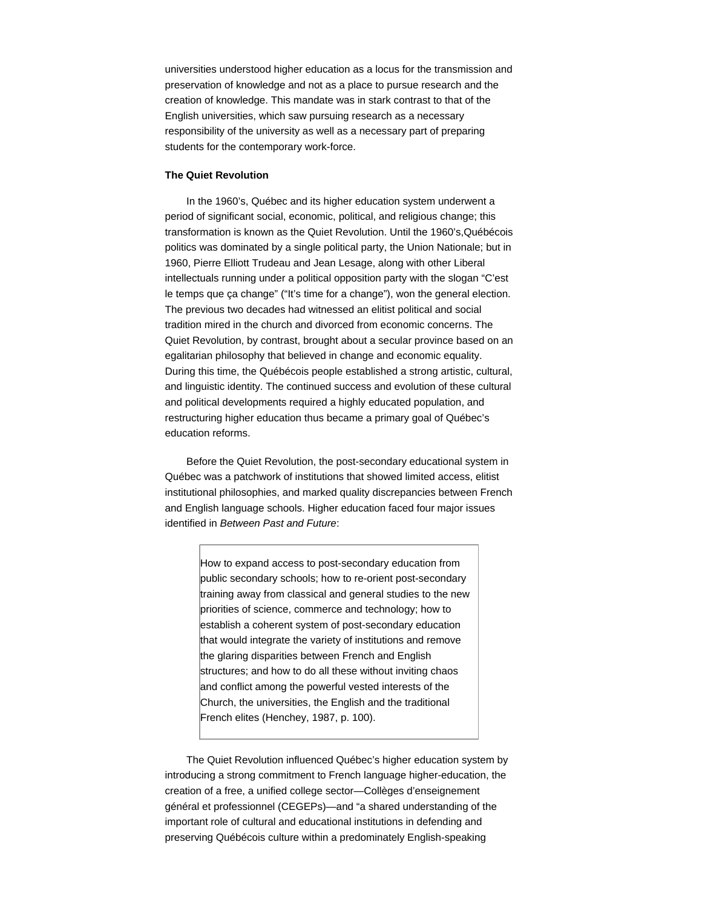universities understood higher education as a locus for the transmission and preservation of knowledge and not as a place to pursue research and the creation of knowledge. This mandate was in stark contrast to that of the English universities, which saw pursuing research as a necessary responsibility of the university as well as a necessary part of preparing students for the contemporary work-force.

### **The Quiet Revolution**

In the 1960's, Québec and its higher education system underwent a period of significant social, economic, political, and religious change; this transformation is known as the Quiet Revolution. Until the 1960's,Québécois politics was dominated by a single political party, the Union Nationale; but in 1960, Pierre Elliott Trudeau and Jean Lesage, along with other Liberal intellectuals running under a political opposition party with the slogan "C'est le temps que ça change" ("It's time for a change"), won the general election. The previous two decades had witnessed an elitist political and social tradition mired in the church and divorced from economic concerns. The Quiet Revolution, by contrast, brought about a secular province based on an egalitarian philosophy that believed in change and economic equality. During this time, the Québécois people established a strong artistic, cultural, and linguistic identity. The continued success and evolution of these cultural and political developments required a highly educated population, and restructuring higher education thus became a primary goal of Québec's education reforms.

Before the Quiet Revolution, the post-secondary educational system in Québec was a patchwork of institutions that showed limited access, elitist institutional philosophies, and marked quality discrepancies between French and English language schools. Higher education faced four major issues identified in *Between Past and Future*:

How to expand access to post-secondary education from public secondary schools; how to re-orient post-secondary training away from classical and general studies to the new priorities of science, commerce and technology; how to establish a coherent system of post-secondary education that would integrate the variety of institutions and remove the glaring disparities between French and English structures; and how to do all these without inviting chaos and conflict among the powerful vested interests of the Church, the universities, the English and the traditional French elites (Henchey, 1987, p. 100).

The Quiet Revolution influenced Québec's higher education system by introducing a strong commitment to French language higher-education, the creation of a free, a unified college sector—Collèges d'enseignement général et professionnel (CEGEPs)—and "a shared understanding of the important role of cultural and educational institutions in defending and preserving Québécois culture within a predominately English-speaking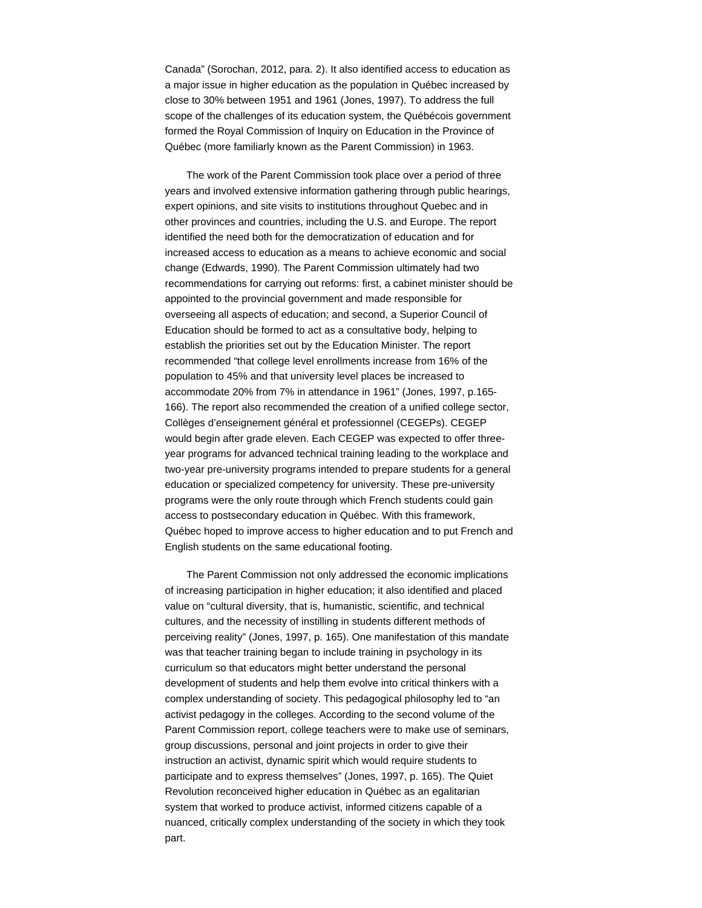Canada" (Sorochan, 2012, para. 2). It also identified access to education as a major issue in higher education as the population in Québec increased by close to 30% between 1951 and 1961 (Jones, 1997). To address the full scope of the challenges of its education system, the Québécois government formed the Royal Commission of Inquiry on Education in the Province of Québec (more familiarly known as the Parent Commission) in 1963.

The work of the Parent Commission took place over a period of three years and involved extensive information gathering through public hearings, expert opinions, and site visits to institutions throughout Quebec and in other provinces and countries, including the U.S. and Europe. The report identified the need both for the democratization of education and for increased access to education as a means to achieve economic and social change (Edwards, 1990). The Parent Commission ultimately had two recommendations for carrying out reforms: first, a cabinet minister should be appointed to the provincial government and made responsible for overseeing all aspects of education; and second, a Superior Council of Education should be formed to act as a consultative body, helping to establish the priorities set out by the Education Minister. The report recommended "that college level enrollments increase from 16% of the population to 45% and that university level places be increased to accommodate 20% from 7% in attendance in 1961" (Jones, 1997, p.165- 166). The report also recommended the creation of a unified college sector, Collèges d'enseignement général et professionnel (CEGEPs). CEGEP would begin after grade eleven. Each CEGEP was expected to offer threeyear programs for advanced technical training leading to the workplace and two-year pre-university programs intended to prepare students for a general education or specialized competency for university. These pre-university programs were the only route through which French students could gain access to postsecondary education in Québec. With this framework, Québec hoped to improve access to higher education and to put French and English students on the same educational footing.

The Parent Commission not only addressed the economic implications of increasing participation in higher education; it also identified and placed value on "cultural diversity, that is, humanistic, scientific, and technical cultures, and the necessity of instilling in students different methods of perceiving reality" (Jones, 1997, p. 165). One manifestation of this mandate was that teacher training began to include training in psychology in its curriculum so that educators might better understand the personal development of students and help them evolve into critical thinkers with a complex understanding of society. This pedagogical philosophy led to "an activist pedagogy in the colleges. According to the second volume of the Parent Commission report, college teachers were to make use of seminars, group discussions, personal and joint projects in order to give their instruction an activist, dynamic spirit which would require students to participate and to express themselves" (Jones, 1997, p. 165). The Quiet Revolution reconceived higher education in Québec as an egalitarian system that worked to produce activist, informed citizens capable of a nuanced, critically complex understanding of the society in which they took part.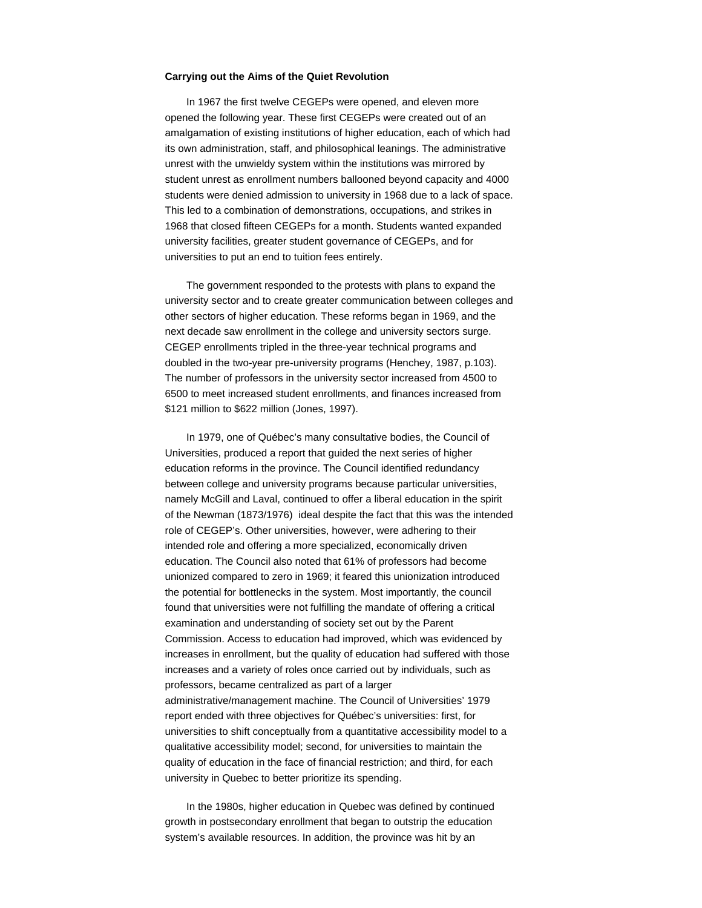### **Carrying out the Aims of the Quiet Revolution**

In 1967 the first twelve CEGEPs were opened, and eleven more opened the following year. These first CEGEPs were created out of an amalgamation of existing institutions of higher education, each of which had its own administration, staff, and philosophical leanings. The administrative unrest with the unwieldy system within the institutions was mirrored by student unrest as enrollment numbers ballooned beyond capacity and 4000 students were denied admission to university in 1968 due to a lack of space. This led to a combination of demonstrations, occupations, and strikes in 1968 that closed fifteen CEGEPs for a month. Students wanted expanded university facilities, greater student governance of CEGEPs, and for universities to put an end to tuition fees entirely.

The government responded to the protests with plans to expand the university sector and to create greater communication between colleges and other sectors of higher education. These reforms began in 1969, and the next decade saw enrollment in the college and university sectors surge. CEGEP enrollments tripled in the three-year technical programs and doubled in the two-year pre-university programs (Henchey, 1987, p.103). The number of professors in the university sector increased from 4500 to 6500 to meet increased student enrollments, and finances increased from \$121 million to \$622 million (Jones, 1997).

In 1979, one of Québec's many consultative bodies, the Council of Universities, produced a report that guided the next series of higher education reforms in the province. The Council identified redundancy between college and university programs because particular universities, namely McGill and Laval, continued to offer a liberal education in the spirit of the Newman (1873/1976) ideal despite the fact that this was the intended role of CEGEP's. Other universities, however, were adhering to their intended role and offering a more specialized, economically driven education. The Council also noted that 61% of professors had become unionized compared to zero in 1969; it feared this unionization introduced the potential for bottlenecks in the system. Most importantly, the council found that universities were not fulfilling the mandate of offering a critical examination and understanding of society set out by the Parent Commission. Access to education had improved, which was evidenced by increases in enrollment, but the quality of education had suffered with those increases and a variety of roles once carried out by individuals, such as professors, became centralized as part of a larger administrative/management machine. The Council of Universities' 1979 report ended with three objectives for Québec's universities: first, for universities to shift conceptually from a quantitative accessibility model to a qualitative accessibility model; second, for universities to maintain the quality of education in the face of financial restriction; and third, for each university in Quebec to better prioritize its spending.

In the 1980s, higher education in Quebec was defined by continued growth in postsecondary enrollment that began to outstrip the education system's available resources. In addition, the province was hit by an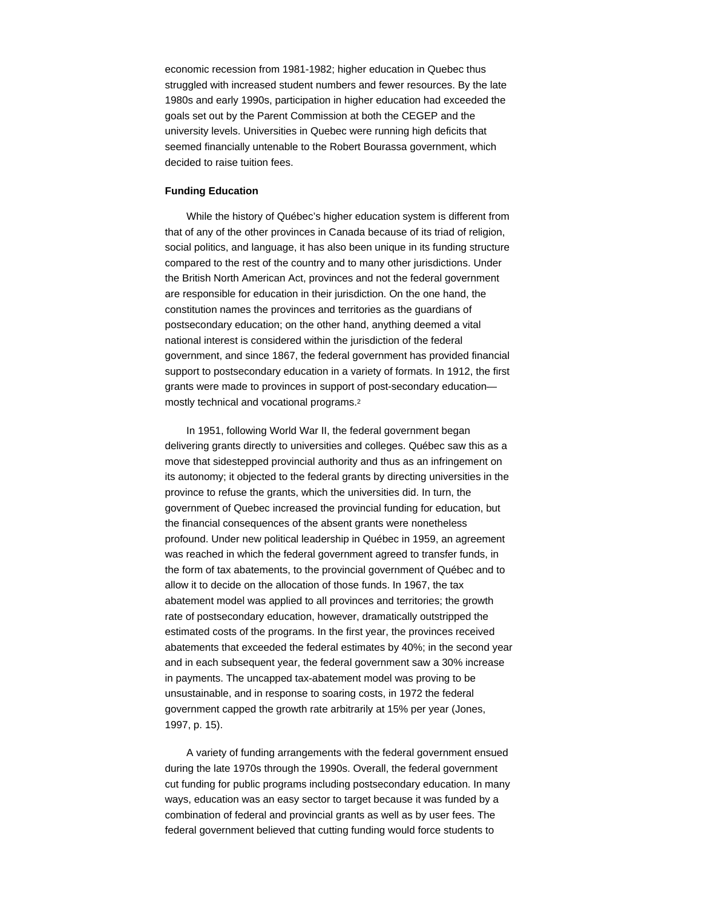economic recession from 1981-1982; higher education in Quebec thus struggled with increased student numbers and fewer resources. By the late 1980s and early 1990s, participation in higher education had exceeded the goals set out by the Parent Commission at both the CEGEP and the university levels. Universities in Quebec were running high deficits that seemed financially untenable to the Robert Bourassa government, which decided to raise tuition fees.

#### **Funding Education**

While the history of Québec's higher education system is different from that of any of the other provinces in Canada because of its triad of religion, social politics, and language, it has also been unique in its funding structure compared to the rest of the country and to many other jurisdictions. Under the British North American Act, provinces and not the federal government are responsible for education in their jurisdiction. On the one hand, the constitution names the provinces and territories as the guardians of postsecondary education; on the other hand, anything deemed a vital national interest is considered within the jurisdiction of the federal government, and since 1867, the federal government has provided financial support to postsecondary education in a variety of formats. In 1912, the first grants were made to provinces in support of post-secondary education mostly technical and vocational programs. 2

In 1951, following World War II, the federal government began delivering grants directly to universities and colleges. Québec saw this as a move that sidestepped provincial authority and thus as an infringement on its autonomy; it objected to the federal grants by directing universities in the province to refuse the grants, which the universities did. In turn, the government of Quebec increased the provincial funding for education, but the financial consequences of the absent grants were nonetheless profound. Under new political leadership in Québec in 1959, an agreement was reached in which the federal government agreed to transfer funds, in the form of tax abatements, to the provincial government of Québec and to allow it to decide on the allocation of those funds. In 1967, the tax abatement model was applied to all provinces and territories; the growth rate of postsecondary education, however, dramatically outstripped the estimated costs of the programs. In the first year, the provinces received abatements that exceeded the federal estimates by 40%; in the second year and in each subsequent year, the federal government saw a 30% increase in payments. The uncapped tax-abatement model was proving to be unsustainable, and in response to soaring costs, in 1972 the federal government capped the growth rate arbitrarily at 15% per year (Jones, 1997, p. 15).

A variety of funding arrangements with the federal government ensued during the late 1970s through the 1990s. Overall, the federal government cut funding for public programs including postsecondary education. In many ways, education was an easy sector to target because it was funded by a combination of federal and provincial grants as well as by user fees. The federal government believed that cutting funding would force students to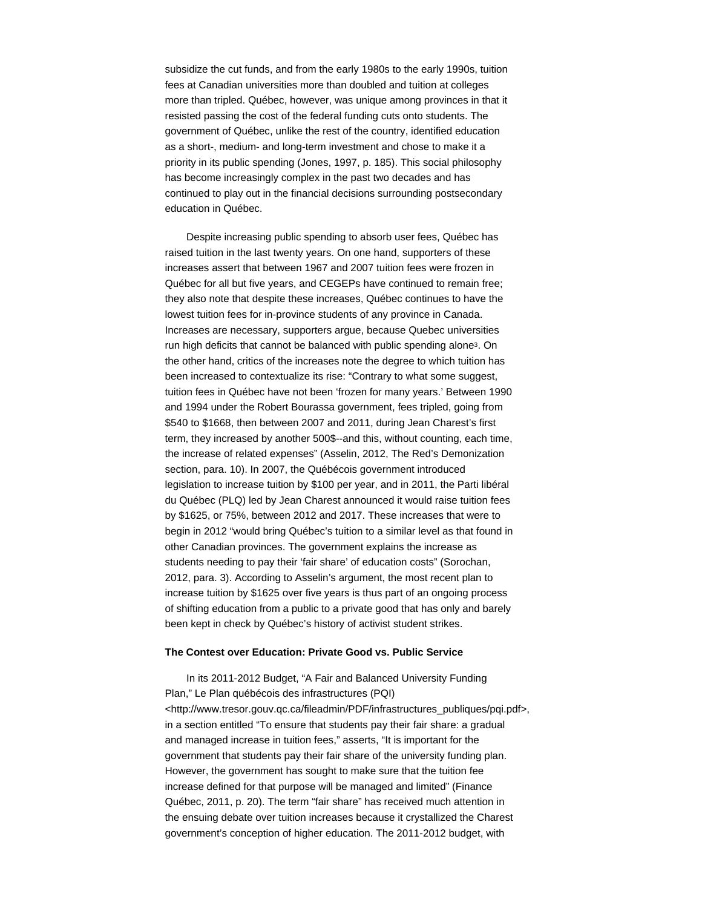subsidize the cut funds, and from the early 1980s to the early 1990s, tuition fees at Canadian universities more than doubled and tuition at colleges more than tripled. Québec, however, was unique among provinces in that it resisted passing the cost of the federal funding cuts onto students. The government of Québec, unlike the rest of the country, identified education as a short-, medium- and long-term investment and chose to make it a priority in its public spending (Jones, 1997, p. 185). This social philosophy has become increasingly complex in the past two decades and has continued to play out in the financial decisions surrounding postsecondary education in Québec.

Despite increasing public spending to absorb user fees, Québec has raised tuition in the last twenty years. On one hand, supporters of these increases assert that between 1967 and 2007 tuition fees were frozen in Québec for all but five years, and CEGEPs have continued to remain free; they also note that despite these increases, Québec continues to have the lowest tuition fees for in-province students of any province in Canada. Increases are necessary, supporters argue, because Quebec universities run high deficits that cannot be balanced with public spending alone<sup>3</sup>. On the other hand, critics of the increases note the degree to which tuition has been increased to contextualize its rise: "Contrary to what some suggest, tuition fees in Québec have not been 'frozen for many years.' Between 1990 and 1994 under the Robert Bourassa government, fees tripled, going from \$540 to \$1668, then between 2007 and 2011, during Jean Charest's first term, they increased by another 500\$--and this, without counting, each time, the increase of related expenses" (Asselin, 2012, The Red's Demonization section, para. 10). In 2007, the Québécois government introduced legislation to increase tuition by \$100 per year, and in 2011, the Parti libéral du Québec (PLQ) led by Jean Charest announced it would raise tuition fees by \$1625, or 75%, between 2012 and 2017. These increases that were to begin in 2012 "would bring Québec's tuition to a similar level as that found in other Canadian provinces. The government explains the increase as students needing to pay their 'fair share' of education costs" (Sorochan, 2012, para. 3). According to Asselin's argument, the most recent plan to increase tuition by \$1625 over five years is thus part of an ongoing process of shifting education from a public to a private good that has only and barely been kept in check by Québec's history of activist student strikes.

#### **The Contest over Education: Private Good vs. Public Service**

In its 2011-2012 Budget, "A Fair and Balanced University Funding Plan," Le Plan québécois des infrastructures (PQI) <http://www.tresor.gouv.qc.ca/fileadmin/PDF/infrastructures\_publiques/pqi.pdf>, in a section entitled "To ensure that students pay their fair share: a gradual and managed increase in tuition fees," asserts, "It is important for the government that students pay their fair share of the university funding plan. However, the government has sought to make sure that the tuition fee increase defined for that purpose will be managed and limited" (Finance Québec, 2011, p. 20). The term "fair share" has received much attention in the ensuing debate over tuition increases because it crystallized the Charest government's conception of higher education. The 2011-2012 budget, with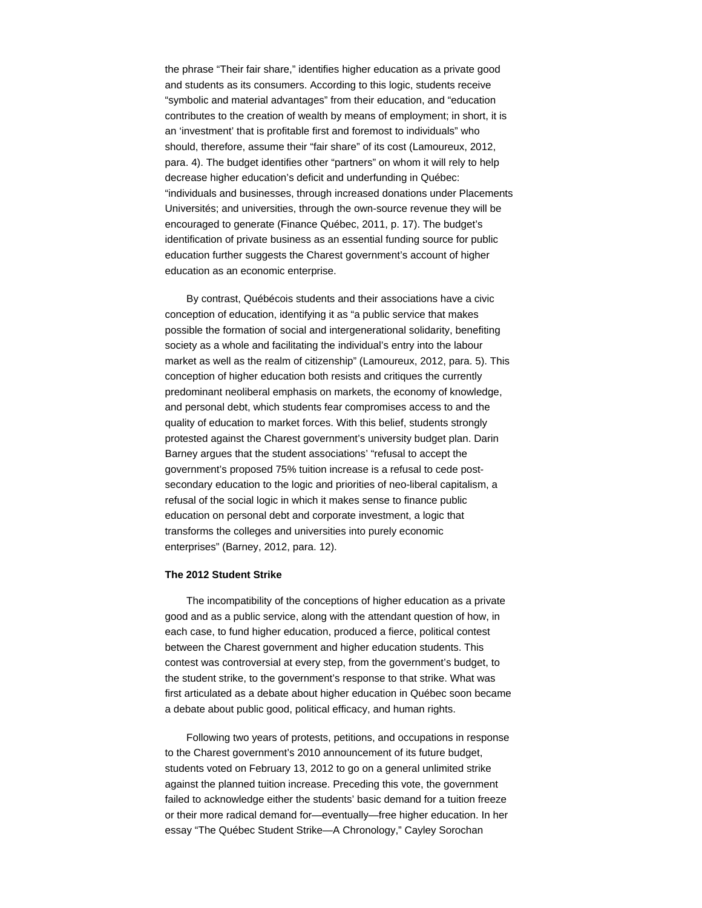the phrase "Their fair share," identifies higher education as a private good and students as its consumers. According to this logic, students receive "symbolic and material advantages" from their education, and "education contributes to the creation of wealth by means of employment; in short, it is an 'investment' that is profitable first and foremost to individuals" who should, therefore, assume their "fair share" of its cost (Lamoureux, 2012, para. 4). The budget identifies other "partners" on whom it will rely to help decrease higher education's deficit and underfunding in Québec: "individuals and businesses, through increased donations under Placements Universités; and universities, through the own-source revenue they will be encouraged to generate (Finance Québec, 2011, p. 17). The budget's identification of private business as an essential funding source for public education further suggests the Charest government's account of higher education as an economic enterprise.

By contrast, Québécois students and their associations have a civic conception of education, identifying it as "a public service that makes possible the formation of social and intergenerational solidarity, benefiting society as a whole and facilitating the individual's entry into the labour market as well as the realm of citizenship" (Lamoureux, 2012, para. 5). This conception of higher education both resists and critiques the currently predominant neoliberal emphasis on markets, the economy of knowledge, and personal debt, which students fear compromises access to and the quality of education to market forces. With this belief, students strongly protested against the Charest government's university budget plan. Darin Barney argues that the student associations' "refusal to accept the government's proposed 75% tuition increase is a refusal to cede postsecondary education to the logic and priorities of neo-liberal capitalism, a refusal of the social logic in which it makes sense to finance public education on personal debt and corporate investment, a logic that transforms the colleges and universities into purely economic enterprises" (Barney, 2012, para. 12).

## **The 2012 Student Strike**

The incompatibility of the conceptions of higher education as a private good and as a public service, along with the attendant question of how, in each case, to fund higher education, produced a fierce, political contest between the Charest government and higher education students. This contest was controversial at every step, from the government's budget, to the student strike, to the government's response to that strike. What was first articulated as a debate about higher education in Québec soon became a debate about public good, political efficacy, and human rights.

Following two years of protests, petitions, and occupations in response to the Charest government's 2010 announcement of its future budget, students voted on February 13, 2012 to go on a general unlimited strike against the planned tuition increase. Preceding this vote, the government failed to acknowledge either the students' basic demand for a tuition freeze or their more radical demand for—eventually—free higher education. In her essay "The Québec Student Strike—A Chronology," Cayley Sorochan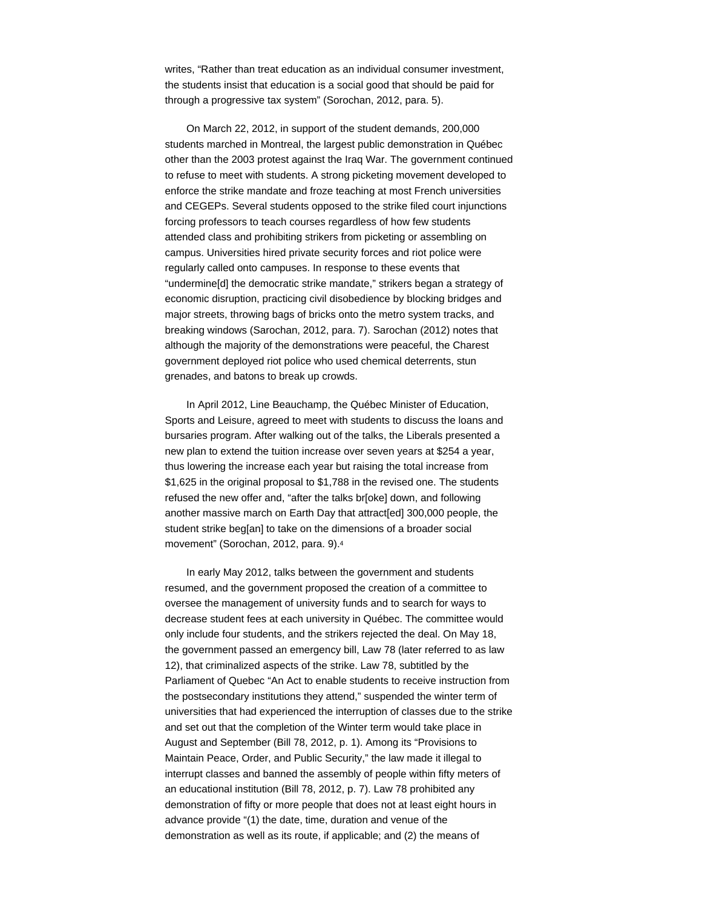writes, "Rather than treat education as an individual consumer investment, the students insist that education is a social good that should be paid for through a progressive tax system" (Sorochan, 2012, para. 5).

On March 22, 2012, in support of the student demands, 200,000 students marched in Montreal, the largest public demonstration in Québec other than the 2003 protest against the Iraq War. The government continued to refuse to meet with students. A strong picketing movement developed to enforce the strike mandate and froze teaching at most French universities and CEGEPs. Several students opposed to the strike filed court injunctions forcing professors to teach courses regardless of how few students attended class and prohibiting strikers from picketing or assembling on campus. Universities hired private security forces and riot police were regularly called onto campuses. In response to these events that "undermine[d] the democratic strike mandate," strikers began a strategy of economic disruption, practicing civil disobedience by blocking bridges and major streets, throwing bags of bricks onto the metro system tracks, and breaking windows (Sarochan, 2012, para. 7). Sarochan (2012) notes that although the majority of the demonstrations were peaceful, the Charest government deployed riot police who used chemical deterrents, stun grenades, and batons to break up crowds.

In April 2012, Line Beauchamp, the Québec Minister of Education, Sports and Leisure, agreed to meet with students to discuss the loans and bursaries program. After walking out of the talks, the Liberals presented a new plan to extend the tuition increase over seven years at \$254 a year, thus lowering the increase each year but raising the total increase from \$1,625 in the original proposal to \$1,788 in the revised one. The students refused the new offer and, "after the talks br[oke] down, and following another massive march on Earth Day that attract[ed] 300,000 people, the student strike beg[an] to take on the dimensions of a broader social movement" (Sorochan, 2012, para. 9). 4

In early May 2012, talks between the government and students resumed, and the government proposed the creation of a committee to oversee the management of university funds and to search for ways to decrease student fees at each university in Québec. The committee would only include four students, and the strikers rejected the deal. On May 18, the government passed an emergency bill, Law 78 (later referred to as law 12), that criminalized aspects of the strike. Law 78, subtitled by the Parliament of Quebec "An Act to enable students to receive instruction from the postsecondary institutions they attend," suspended the winter term of universities that had experienced the interruption of classes due to the strike and set out that the completion of the Winter term would take place in August and September (Bill 78, 2012, p. 1). Among its "Provisions to Maintain Peace, Order, and Public Security," the law made it illegal to interrupt classes and banned the assembly of people within fifty meters of an educational institution (Bill 78, 2012, p. 7). Law 78 prohibited any demonstration of fifty or more people that does not at least eight hours in advance provide "(1) the date, time, duration and venue of the demonstration as well as its route, if applicable; and (2) the means of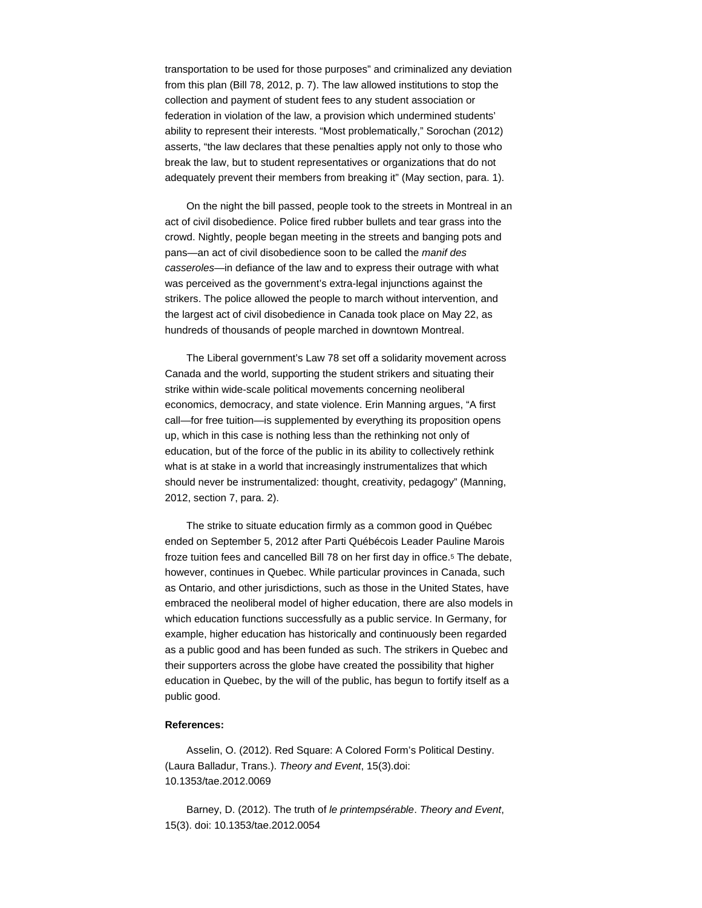transportation to be used for those purposes" and criminalized any deviation from this plan (Bill 78, 2012, p. 7). The law allowed institutions to stop the collection and payment of student fees to any student association or federation in violation of the law, a provision which undermined students' ability to represent their interests. "Most problematically," Sorochan (2012) asserts, "the law declares that these penalties apply not only to those who break the law, but to student representatives or organizations that do not adequately prevent their members from breaking it" (May section, para. 1).

On the night the bill passed, people took to the streets in Montreal in an act of civil disobedience. Police fired rubber bullets and tear grass into the crowd. Nightly, people began meeting in the streets and banging pots and pans—an act of civil disobedience soon to be called the *manif des casseroles*—in defiance of the law and to express their outrage with what was perceived as the government's extra-legal injunctions against the strikers. The police allowed the people to march without intervention, and the largest act of civil disobedience in Canada took place on May 22, as hundreds of thousands of people marched in downtown Montreal.

The Liberal government's Law 78 set off a solidarity movement across Canada and the world, supporting the student strikers and situating their strike within wide-scale political movements concerning neoliberal economics, democracy, and state violence. Erin Manning argues, "A first call—for free tuition—is supplemented by everything its proposition opens up, which in this case is nothing less than the rethinking not only of education, but of the force of the public in its ability to collectively rethink what is at stake in a world that increasingly instrumentalizes that which should never be instrumentalized: thought, creativity, pedagogy" (Manning, 2012, section 7, para. 2).

The strike to situate education firmly as a common good in Québec ended on September 5, 2012 after Parti Québécois Leader Pauline Marois froze tuition fees and cancelled Bill 78 on her first day in office.<sup>5</sup> The debate, however, continues in Quebec. While particular provinces in Canada, such as Ontario, and other jurisdictions, such as those in the United States, have embraced the neoliberal model of higher education, there are also models in which education functions successfully as a public service. In Germany, for example, higher education has historically and continuously been regarded as a public good and has been funded as such. The strikers in Quebec and their supporters across the globe have created the possibility that higher education in Quebec, by the will of the public, has begun to fortify itself as a public good.

## **References:**

Asselin, O. (2012). Red Square: A Colored Form's Political Destiny. (Laura Balladur, Trans.). *Theory and Event*, 15(3).doi: 10.1353/tae.2012.0069

Barney, D. (2012). The truth of *le printempsérable*. *Theory and Event*, 15(3). doi: 10.1353/tae.2012.0054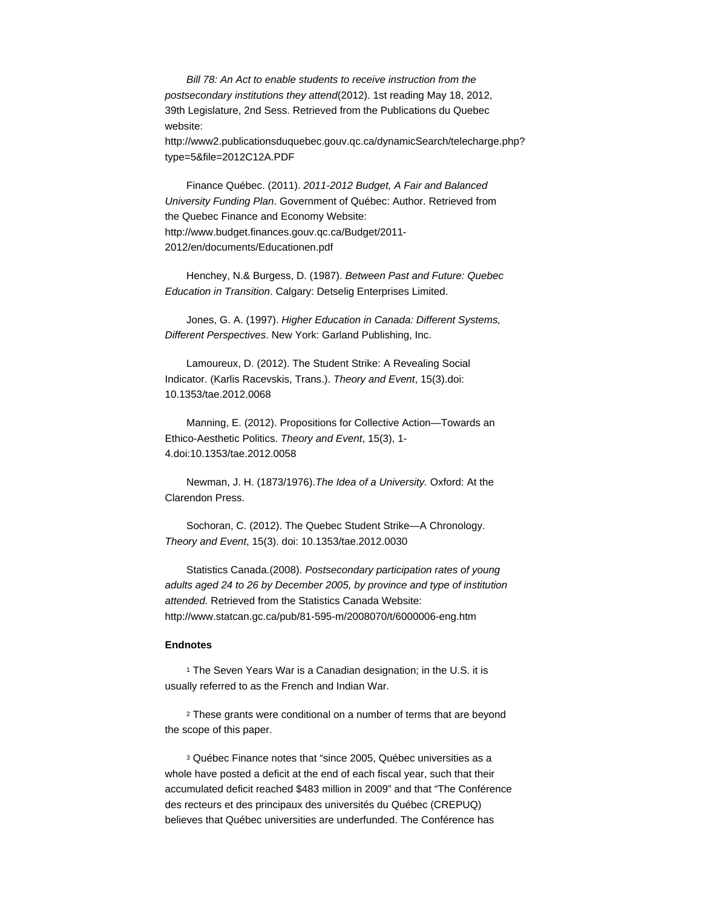*Bill 78: An Act to enable students to receive instruction from the postsecondary institutions they attend*(2012). 1st reading May 18, 2012, 39th Legislature, 2nd Sess. Retrieved from the Publications du Quebec website:

http://www2.publicationsduquebec.gouv.qc.ca/dynamicSearch/telecharge.php? type=5&file=2012C12A.PDF

Finance Québec. (2011). *2011-2012 Budget, A Fair and Balanced University Funding Plan*. Government of Québec: Author. Retrieved from the Quebec Finance and Economy Website: http://www.budget.finances.gouv.qc.ca/Budget/2011- 2012/en/documents/Educationen.pdf

Henchey, N.& Burgess, D. (1987). *Between Past and Future: Quebec Education in Transition*. Calgary: Detselig Enterprises Limited.

Jones, G. A. (1997). *Higher Education in Canada: Different Systems, Different Perspectives*. New York: Garland Publishing, Inc.

Lamoureux, D. (2012). The Student Strike: A Revealing Social Indicator. (Karlis Racevskis, Trans.). *Theory and Event*, 15(3).doi: 10.1353/tae.2012.0068

Manning, E. (2012). Propositions for Collective Action—Towards an Ethico-Aesthetic Politics. *Theory and Event*, 15(3), 1- 4.doi:10.1353/tae.2012.0058

Newman, J. H. (1873/1976).*The Idea of a University.* Oxford: At the Clarendon Press.

Sochoran, C. (2012). The Quebec Student Strike—A Chronology. *Theory and Event*, 15(3). doi: 10.1353/tae.2012.0030

Statistics Canada.(2008). *Postsecondary participation rates of young adults aged 24 to 26 by December 2005, by province and type of institution attended*. Retrieved from the Statistics Canada Website: http://www.statcan.gc.ca/pub/81-595-m/2008070/t/6000006-eng.htm

## **Endnotes**

<sup>1</sup> The Seven Years War is a Canadian designation; in the U.S. it is usually referred to as the French and Indian War.

These grants were conditional on a number of terms that are beyond 2 the scope of this paper.

Québec Finance notes that "since 2005, Québec universities as a 3whole have posted a deficit at the end of each fiscal year, such that their accumulated deficit reached \$483 million in 2009" and that "The Conférence des recteurs et des principaux des universités du Québec (CREPUQ) believes that Québec universities are underfunded. The Conférence has